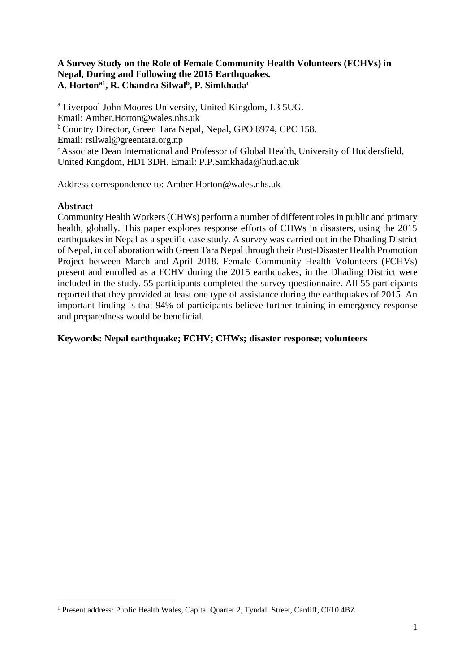# **A Survey Study on the Role of Female Community Health Volunteers (FCHVs) in Nepal, During and Following the 2015 Earthquakes. A. Hortona1 , R. Chandra Silwal<sup>b</sup> , P. Simkhada<sup>c</sup>**

<sup>a</sup> Liverpool John Moores University, United Kingdom, L3 5UG. Email: Amber.Horton@wales.nhs.uk <sup>b</sup> Country Director, Green Tara Nepal, Nepal, GPO 8974, CPC 158. Email: rsilwal@greentara.org.np <sup>c</sup> Associate Dean International and Professor of Global Health, University of Huddersfield, United Kingdom, HD1 3DH. Email: P.P.Simkhada@hud.ac.uk

Address correspondence to: Amber.Horton@wales.nhs.uk

# **Abstract**

 $\overline{a}$ 

Community Health Workers (CHWs) perform a number of different roles in public and primary health, globally. This paper explores response efforts of CHWs in disasters, using the 2015 earthquakes in Nepal as a specific case study. A survey was carried out in the Dhading District of Nepal, in collaboration with Green Tara Nepal through their Post-Disaster Health Promotion Project between March and April 2018. Female Community Health Volunteers (FCHVs) present and enrolled as a FCHV during the 2015 earthquakes, in the Dhading District were included in the study. 55 participants completed the survey questionnaire. All 55 participants reported that they provided at least one type of assistance during the earthquakes of 2015. An important finding is that 94% of participants believe further training in emergency response and preparedness would be beneficial.

# **Keywords: Nepal earthquake; FCHV; CHWs; disaster response; volunteers**

<sup>&</sup>lt;sup>1</sup> Present address: Public Health Wales, Capital Quarter 2, Tyndall Street, Cardiff, CF10 4BZ.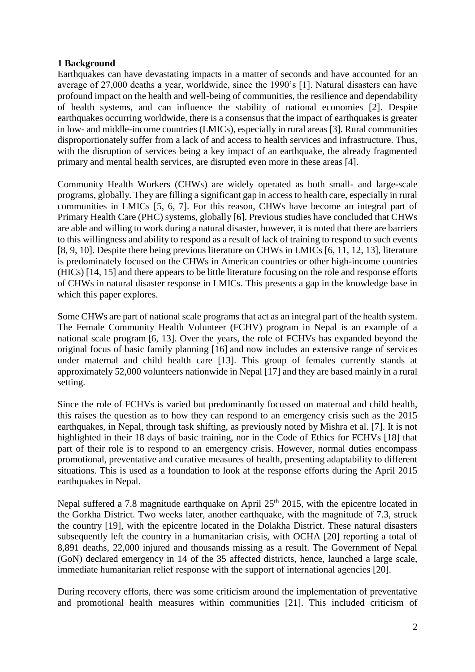# **1 Background**

Earthquakes can have devastating impacts in a matter of seconds and have accounted for an average of 27,000 deaths a year, worldwide, since the 1990's [1]. Natural disasters can have profound impact on the health and well-being of communities, the resilience and dependability of health systems, and can influence the stability of national economies [2]. Despite earthquakes occurring worldwide, there is a consensus that the impact of earthquakes is greater in low- and middle-income countries (LMICs), especially in rural areas [3]. Rural communities disproportionately suffer from a lack of and access to health services and infrastructure. Thus, with the disruption of services being a key impact of an earthquake, the already fragmented primary and mental health services, are disrupted even more in these areas [4].

Community Health Workers (CHWs) are widely operated as both small- and large-scale programs, globally. They are filling a significant gap in access to health care, especially in rural communities in LMICs [5, 6, 7]. For this reason, CHWs have become an integral part of Primary Health Care (PHC) systems, globally [6]. Previous studies have concluded that CHWs are able and willing to work during a natural disaster, however, it is noted that there are barriers to this willingness and ability to respond as a result of lack of training to respond to such events [8, 9, 10]. Despite there being previous literature on CHWs in LMICs [6, 11, 12, 13], literature is predominately focused on the CHWs in American countries or other high-income countries (HICs) [14, 15] and there appears to be little literature focusing on the role and response efforts of CHWs in natural disaster response in LMICs. This presents a gap in the knowledge base in which this paper explores.

Some CHWs are part of national scale programs that act as an integral part of the health system. The Female Community Health Volunteer (FCHV) program in Nepal is an example of a national scale program [6, 13]. Over the years, the role of FCHVs has expanded beyond the original focus of basic family planning [16] and now includes an extensive range of services under maternal and child health care [13]. This group of females currently stands at approximately 52,000 volunteers nationwide in Nepal [17] and they are based mainly in a rural setting.

Since the role of FCHVs is varied but predominantly focussed on maternal and child health, this raises the question as to how they can respond to an emergency crisis such as the 2015 earthquakes, in Nepal, through task shifting, as previously noted by Mishra et al. [7]. It is not highlighted in their 18 days of basic training, nor in the Code of Ethics for FCHVs [18] that part of their role is to respond to an emergency crisis. However, normal duties encompass promotional, preventative and curative measures of health, presenting adaptability to different situations. This is used as a foundation to look at the response efforts during the April 2015 earthquakes in Nepal.

Nepal suffered a 7.8 magnitude earthquake on April  $25<sup>th</sup>$  2015, with the epicentre located in the Gorkha District. Two weeks later, another earthquake, with the magnitude of 7.3, struck the country [19], with the epicentre located in the Dolakha District. These natural disasters subsequently left the country in a humanitarian crisis, with OCHA [20] reporting a total of 8,891 deaths, 22,000 injured and thousands missing as a result. The Government of Nepal (GoN) declared emergency in 14 of the 35 affected districts, hence, launched a large scale, immediate humanitarian relief response with the support of international agencies [20].

During recovery efforts, there was some criticism around the implementation of preventative and promotional health measures within communities [21]. This included criticism of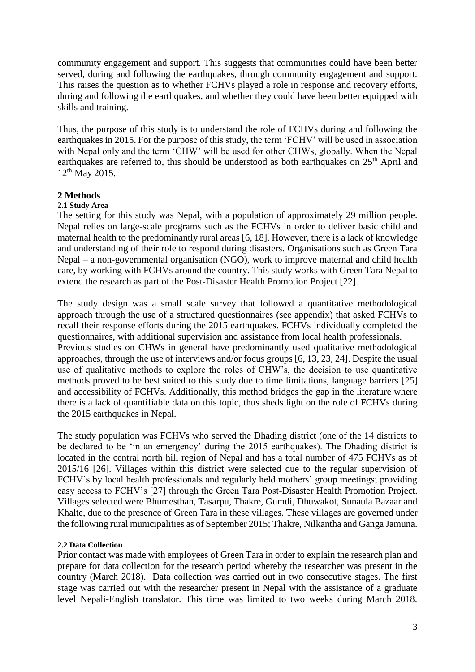community engagement and support. This suggests that communities could have been better served, during and following the earthquakes, through community engagement and support. This raises the question as to whether FCHVs played a role in response and recovery efforts, during and following the earthquakes, and whether they could have been better equipped with skills and training.

Thus, the purpose of this study is to understand the role of FCHVs during and following the earthquakes in 2015. For the purpose of this study, the term 'FCHV' will be used in association with Nepal only and the term 'CHW' will be used for other CHWs, globally. When the Nepal earthquakes are referred to, this should be understood as both earthquakes on  $25<sup>th</sup>$  April and 12<sup>th</sup> May 2015.

## **2 Methods**

## **2.1 Study Area**

The setting for this study was Nepal, with a population of approximately 29 million people. Nepal relies on large-scale programs such as the FCHVs in order to deliver basic child and maternal health to the predominantly rural areas [6, 18]. However, there is a lack of knowledge and understanding of their role to respond during disasters. Organisations such as Green Tara Nepal – a non-governmental organisation (NGO), work to improve maternal and child health care, by working with FCHVs around the country. This study works with Green Tara Nepal to extend the research as part of the Post-Disaster Health Promotion Project [22].

The study design was a small scale survey that followed a quantitative methodological approach through the use of a structured questionnaires (see appendix) that asked FCHVs to recall their response efforts during the 2015 earthquakes. FCHVs individually completed the questionnaires, with additional supervision and assistance from local health professionals. Previous studies on CHWs in general have predominantly used qualitative methodological approaches, through the use of interviews and/or focus groups [6, 13, 23, 24]. Despite the usual use of qualitative methods to explore the roles of CHW's, the decision to use quantitative methods proved to be best suited to this study due to time limitations, language barriers [25] and accessibility of FCHVs. Additionally, this method bridges the gap in the literature where there is a lack of quantifiable data on this topic, thus sheds light on the role of FCHVs during the 2015 earthquakes in Nepal.

The study population was FCHVs who served the Dhading district (one of the 14 districts to be declared to be 'in an emergency' during the 2015 earthquakes). The Dhading district is located in the central north hill region of Nepal and has a total number of 475 FCHVs as of 2015/16 [26]. Villages within this district were selected due to the regular supervision of FCHV's by local health professionals and regularly held mothers' group meetings; providing easy access to FCHV's [27] through the Green Tara Post-Disaster Health Promotion Project. Villages selected were Bhumesthan, Tasarpu, Thakre, Gumdi, Dhuwakot, Sunaula Bazaar and Khalte, due to the presence of Green Tara in these villages. These villages are governed under the following rural municipalities as of September 2015; Thakre, Nilkantha and Ganga Jamuna.

## **2.2 Data Collection**

Prior contact was made with employees of Green Tara in order to explain the research plan and prepare for data collection for the research period whereby the researcher was present in the country (March 2018). Data collection was carried out in two consecutive stages. The first stage was carried out with the researcher present in Nepal with the assistance of a graduate level Nepali-English translator. This time was limited to two weeks during March 2018.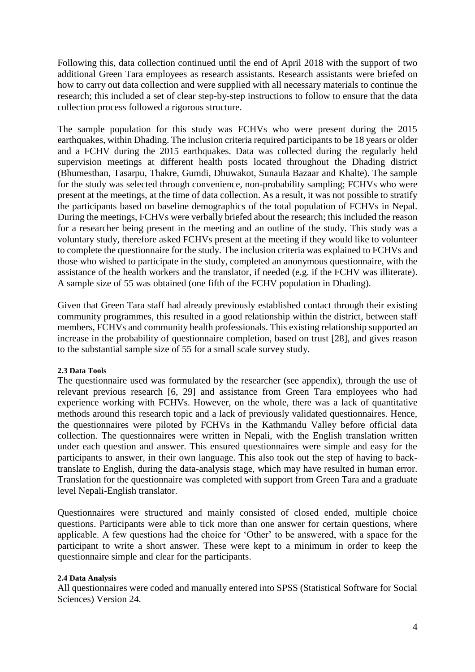Following this, data collection continued until the end of April 2018 with the support of two additional Green Tara employees as research assistants. Research assistants were briefed on how to carry out data collection and were supplied with all necessary materials to continue the research; this included a set of clear step-by-step instructions to follow to ensure that the data collection process followed a rigorous structure.

The sample population for this study was FCHVs who were present during the 2015 earthquakes, within Dhading. The inclusion criteria required participants to be 18 years or older and a FCHV during the 2015 earthquakes. Data was collected during the regularly held supervision meetings at different health posts located throughout the Dhading district (Bhumesthan, Tasarpu, Thakre, Gumdi, Dhuwakot, Sunaula Bazaar and Khalte). The sample for the study was selected through convenience, non-probability sampling; FCHVs who were present at the meetings, at the time of data collection. As a result, it was not possible to stratify the participants based on baseline demographics of the total population of FCHVs in Nepal. During the meetings, FCHVs were verbally briefed about the research; this included the reason for a researcher being present in the meeting and an outline of the study. This study was a voluntary study, therefore asked FCHVs present at the meeting if they would like to volunteer to complete the questionnaire for the study. The inclusion criteria was explained to FCHVs and those who wished to participate in the study, completed an anonymous questionnaire, with the assistance of the health workers and the translator, if needed (e.g. if the FCHV was illiterate). A sample size of 55 was obtained (one fifth of the FCHV population in Dhading).

Given that Green Tara staff had already previously established contact through their existing community programmes, this resulted in a good relationship within the district, between staff members, FCHVs and community health professionals. This existing relationship supported an increase in the probability of questionnaire completion, based on trust [28], and gives reason to the substantial sample size of 55 for a small scale survey study.

## **2.3 Data Tools**

The questionnaire used was formulated by the researcher (see appendix), through the use of relevant previous research [6, 29] and assistance from Green Tara employees who had experience working with FCHVs. However, on the whole, there was a lack of quantitative methods around this research topic and a lack of previously validated questionnaires. Hence, the questionnaires were piloted by FCHVs in the Kathmandu Valley before official data collection. The questionnaires were written in Nepali, with the English translation written under each question and answer. This ensured questionnaires were simple and easy for the participants to answer, in their own language. This also took out the step of having to backtranslate to English, during the data-analysis stage, which may have resulted in human error. Translation for the questionnaire was completed with support from Green Tara and a graduate level Nepali-English translator.

Questionnaires were structured and mainly consisted of closed ended, multiple choice questions. Participants were able to tick more than one answer for certain questions, where applicable. A few questions had the choice for 'Other' to be answered, with a space for the participant to write a short answer. These were kept to a minimum in order to keep the questionnaire simple and clear for the participants.

#### **2.4 Data Analysis**

All questionnaires were coded and manually entered into SPSS (Statistical Software for Social Sciences) Version 24.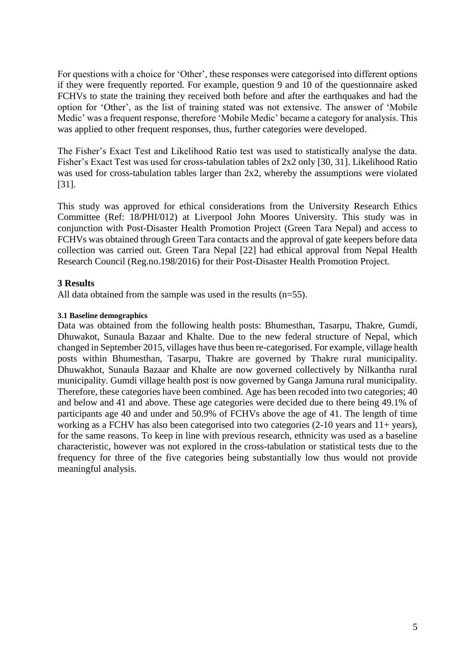For questions with a choice for 'Other', these responses were categorised into different options if they were frequently reported. For example, question 9 and 10 of the questionnaire asked FCHVs to state the training they received both before and after the earthquakes and had the option for 'Other', as the list of training stated was not extensive. The answer of 'Mobile Medic' was a frequent response, therefore 'Mobile Medic' became a category for analysis. This was applied to other frequent responses, thus, further categories were developed.

The Fisher's Exact Test and Likelihood Ratio test was used to statistically analyse the data. Fisher's Exact Test was used for cross-tabulation tables of 2x2 only [30, 31]. Likelihood Ratio was used for cross-tabulation tables larger than 2x2, whereby the assumptions were violated [31].

This study was approved for ethical considerations from the University Research Ethics Committee (Ref: 18/PHI/012) at Liverpool John Moores University. This study was in conjunction with Post-Disaster Health Promotion Project (Green Tara Nepal) and access to FCHVs was obtained through Green Tara contacts and the approval of gate keepers before data collection was carried out. Green Tara Nepal [22] had ethical approval from Nepal Health Research Council (Reg.no.198/2016) for their Post-Disaster Health Promotion Project.

# **3 Results**

All data obtained from the sample was used in the results (n=55).

#### **3.1 Baseline demographics**

Data was obtained from the following health posts: Bhumesthan, Tasarpu, Thakre, Gumdi, Dhuwakot, Sunaula Bazaar and Khalte. Due to the new federal structure of Nepal, which changed in September 2015, villages have thus been re-categorised. For example, village health posts within Bhumesthan, Tasarpu, Thakre are governed by Thakre rural municipality. Dhuwakhot, Sunaula Bazaar and Khalte are now governed collectively by Nilkantha rural municipality. Gumdi village health post is now governed by Ganga Jamuna rural municipality. Therefore, these categories have been combined. Age has been recoded into two categories; 40 and below and 41 and above. These age categories were decided due to there being 49.1% of participants age 40 and under and 50.9% of FCHVs above the age of 41. The length of time working as a FCHV has also been categorised into two categories (2-10 years and 11+ years), for the same reasons. To keep in line with previous research, ethnicity was used as a baseline characteristic, however was not explored in the cross-tabulation or statistical tests due to the frequency for three of the five categories being substantially low thus would not provide meaningful analysis.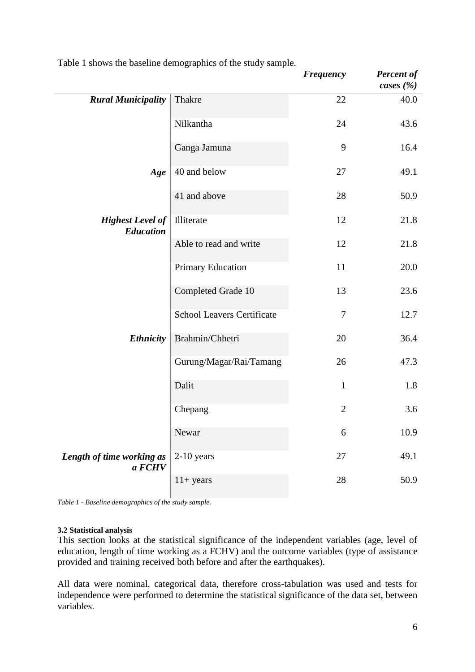|                                             |                                   | <b>Frequency</b> | <b>Percent of</b><br>cases $(\% )$ |
|---------------------------------------------|-----------------------------------|------------------|------------------------------------|
| <b>Rural Municipality</b>                   | Thakre                            | 22               | 40.0                               |
|                                             | Nilkantha                         | 24               | 43.6                               |
|                                             | Ganga Jamuna                      | 9                | 16.4                               |
| Age                                         | 40 and below                      | 27               | 49.1                               |
|                                             | 41 and above                      | 28               | 50.9                               |
| <b>Highest Level of</b><br><b>Education</b> | Illiterate                        | 12               | 21.8                               |
|                                             | Able to read and write            | 12               | 21.8                               |
|                                             | Primary Education                 | 11               | 20.0                               |
|                                             | Completed Grade 10                | 13               | 23.6                               |
|                                             | <b>School Leavers Certificate</b> | $\tau$           | 12.7                               |
| <b>Ethnicity</b>                            | Brahmin/Chhetri                   | 20               | 36.4                               |
|                                             | Gurung/Magar/Rai/Tamang           | 26               | 47.3                               |
|                                             | Dalit                             | $\mathbf{1}$     | 1.8                                |
|                                             | Chepang                           | $\overline{2}$   | 3.6                                |
|                                             | Newar                             | 6                | 10.9                               |
| Length of time working as<br>a FCHV         | $2-10$ years                      | 27               | 49.1                               |
|                                             | $11+ years$                       | 28               | 50.9                               |

Table 1 shows the baseline demographics of the study sample.

#### **3.2 Statistical analysis**

This section looks at the statistical significance of the independent variables (age, level of education, length of time working as a FCHV) and the outcome variables (type of assistance provided and training received both before and after the earthquakes).

All data were nominal, categorical data, therefore cross-tabulation was used and tests for independence were performed to determine the statistical significance of the data set, between variables.

*Table 1 - Baseline demographics of the study sample.*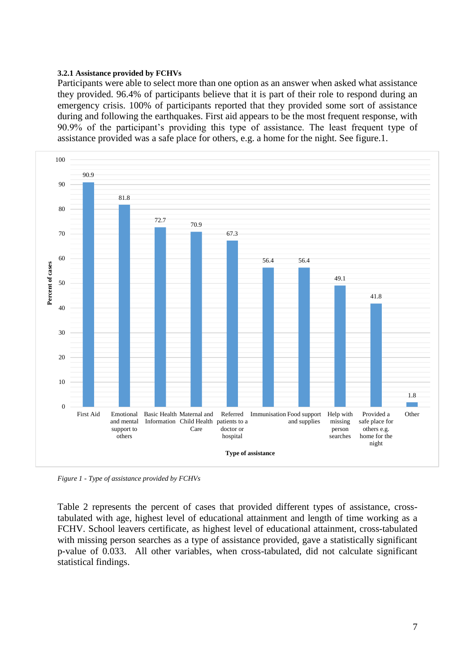#### **3.2.1 Assistance provided by FCHVs**

Participants were able to select more than one option as an answer when asked what assistance they provided. 96.4% of participants believe that it is part of their role to respond during an emergency crisis. 100% of participants reported that they provided some sort of assistance during and following the earthquakes. First aid appears to be the most frequent response, with 90.9% of the participant's providing this type of assistance. The least frequent type of assistance provided was a safe place for others, e.g. a home for the night. See figure.1.



*Figure 1 - Type of assistance provided by FCHVs*

Table 2 represents the percent of cases that provided different types of assistance, crosstabulated with age, highest level of educational attainment and length of time working as a FCHV. School leavers certificate, as highest level of educational attainment, cross-tabulated with missing person searches as a type of assistance provided, gave a statistically significant p-value of 0.033. All other variables, when cross-tabulated, did not calculate significant statistical findings.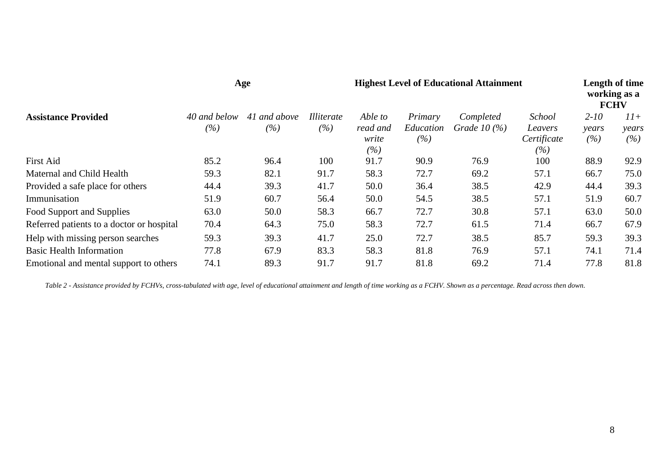| <b>Assistance Provided</b>                | Age                 |                     |                          | <b>Highest Level of Educational Attainment</b> |                             |                              |                                            | Length of time<br>working as a<br><b>FCHV</b> |                       |
|-------------------------------------------|---------------------|---------------------|--------------------------|------------------------------------------------|-----------------------------|------------------------------|--------------------------------------------|-----------------------------------------------|-----------------------|
|                                           | 40 and below<br>(%) | 41 and above<br>(%) | <i>Illiterate</i><br>(%) | Able to<br>read and<br>write<br>(%)            | Primary<br>Education<br>(%) | Completed<br>Grade $10\,(%)$ | School<br>Leavers<br>Certificate<br>$(\%)$ | $2 - 10$<br>years<br>(%)                      | $11+$<br>years<br>(%) |
| <b>First Aid</b>                          | 85.2                | 96.4                | 100                      | 91.7                                           | 90.9                        | 76.9                         | 100                                        | 88.9                                          | 92.9                  |
| Maternal and Child Health                 | 59.3                | 82.1                | 91.7                     | 58.3                                           | 72.7                        | 69.2                         | 57.1                                       | 66.7                                          | 75.0                  |
| Provided a safe place for others          | 44.4                | 39.3                | 41.7                     | 50.0                                           | 36.4                        | 38.5                         | 42.9                                       | 44.4                                          | 39.3                  |
| Immunisation                              | 51.9                | 60.7                | 56.4                     | 50.0                                           | 54.5                        | 38.5                         | 57.1                                       | 51.9                                          | 60.7                  |
| Food Support and Supplies                 | 63.0                | 50.0                | 58.3                     | 66.7                                           | 72.7                        | 30.8                         | 57.1                                       | 63.0                                          | 50.0                  |
| Referred patients to a doctor or hospital | 70.4                | 64.3                | 75.0                     | 58.3                                           | 72.7                        | 61.5                         | 71.4                                       | 66.7                                          | 67.9                  |
| Help with missing person searches         | 59.3                | 39.3                | 41.7                     | 25.0                                           | 72.7                        | 38.5                         | 85.7                                       | 59.3                                          | 39.3                  |
| <b>Basic Health Information</b>           | 77.8                | 67.9                | 83.3                     | 58.3                                           | 81.8                        | 76.9                         | 57.1                                       | 74.1                                          | 71.4                  |
| Emotional and mental support to others    | 74.1                | 89.3                | 91.7                     | 91.7                                           | 81.8                        | 69.2                         | 71.4                                       | 77.8                                          | 81.8                  |

*Table 2 - Assistance provided by FCHVs, cross-tabulated with age, level of educational attainment and length of time working as a FCHV. Shown as a percentage. Read across then down.*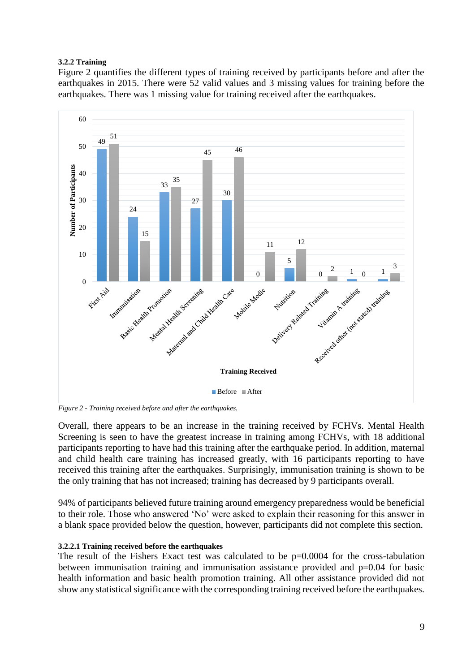## **3.2.2 Training**

Figure 2 quantifies the different types of training received by participants before and after the earthquakes in 2015. There were 52 valid values and 3 missing values for training before the earthquakes. There was 1 missing value for training received after the earthquakes.



*Figure 2 - Training received before and after the earthquakes.*

Overall, there appears to be an increase in the training received by FCHVs. Mental Health Screening is seen to have the greatest increase in training among FCHVs, with 18 additional participants reporting to have had this training after the earthquake period. In addition, maternal and child health care training has increased greatly, with 16 participants reporting to have received this training after the earthquakes. Surprisingly, immunisation training is shown to be the only training that has not increased; training has decreased by 9 participants overall.

94% of participants believed future training around emergency preparedness would be beneficial to their role. Those who answered 'No' were asked to explain their reasoning for this answer in a blank space provided below the question, however, participants did not complete this section.

## **3.2.2.1 Training received before the earthquakes**

The result of the Fishers Exact test was calculated to be  $p=0.0004$  for the cross-tabulation between immunisation training and immunisation assistance provided and p=0.04 for basic health information and basic health promotion training. All other assistance provided did not show any statistical significance with the corresponding training received before the earthquakes.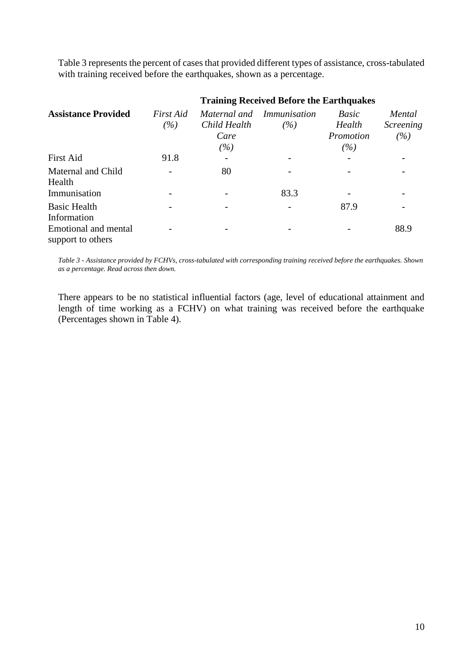Table 3 represents the percent of cases that provided different types of assistance, cross-tabulated with training received before the earthquakes, shown as a percentage.

|                                           | <b>Training Received Before the Earthquakes</b> |                                  |                                  |                                     |                                                 |  |  |  |  |
|-------------------------------------------|-------------------------------------------------|----------------------------------|----------------------------------|-------------------------------------|-------------------------------------------------|--|--|--|--|
| <b>Assistance Provided</b>                | First Aid<br>(%)                                | Child Health<br>Care<br>$( \% )$ | Maternal and Immunisation<br>(%) | Basic<br>Health<br>Promotion<br>(%) | Mental<br><i><u><b>Screening</b></u></i><br>(%) |  |  |  |  |
| <b>First Aid</b>                          | 91.8                                            |                                  |                                  |                                     |                                                 |  |  |  |  |
| Maternal and Child<br>Health              |                                                 | 80                               |                                  |                                     |                                                 |  |  |  |  |
| Immunisation                              |                                                 |                                  | 83.3                             |                                     |                                                 |  |  |  |  |
| <b>Basic Health</b><br>Information        |                                                 |                                  |                                  | 87.9                                |                                                 |  |  |  |  |
| Emotional and mental<br>support to others |                                                 |                                  |                                  |                                     | 88.9                                            |  |  |  |  |

*Table 3 - Assistance provided by FCHVs, cross-tabulated with corresponding training received before the earthquakes. Shown as a percentage. Read across then down.*

There appears to be no statistical influential factors (age, level of educational attainment and length of time working as a FCHV) on what training was received before the earthquake (Percentages shown in Table 4).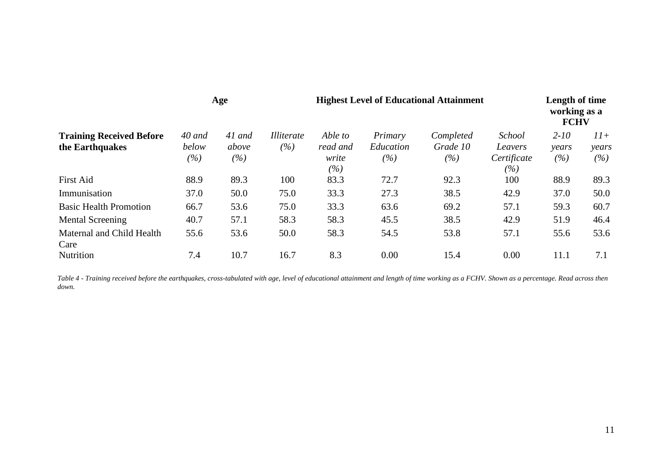| <b>Training Received Before</b><br>the Earthquakes | Age                           |                        |                               | <b>Highest Level of Educational Attainment</b> | Length of time<br>working as a<br><b>FCHV</b> |                              |                                                |                          |                       |
|----------------------------------------------------|-------------------------------|------------------------|-------------------------------|------------------------------------------------|-----------------------------------------------|------------------------------|------------------------------------------------|--------------------------|-----------------------|
|                                                    | $40$ and<br>below<br>$( \% )$ | 41 and<br>above<br>(%) | <i>Illiterate</i><br>$( \% )$ | Able to<br>read and<br>write<br>$( \% )$       | Primary<br>Education<br>(%)                   | Completed<br>Grade 10<br>(%) | <b>School</b><br>Leavers<br>Certificate<br>(%) | $2 - 10$<br>years<br>(%) | $11+$<br>years<br>(%) |
| <b>First Aid</b>                                   | 88.9                          | 89.3                   | 100                           | 83.3                                           | 72.7                                          | 92.3                         | 100                                            | 88.9                     | 89.3                  |
| Immunisation                                       | 37.0                          | 50.0                   | 75.0                          | 33.3                                           | 27.3                                          | 38.5                         | 42.9                                           | 37.0                     | 50.0                  |
| <b>Basic Health Promotion</b>                      | 66.7                          | 53.6                   | 75.0                          | 33.3                                           | 63.6                                          | 69.2                         | 57.1                                           | 59.3                     | 60.7                  |
| Mental Screening                                   | 40.7                          | 57.1                   | 58.3                          | 58.3                                           | 45.5                                          | 38.5                         | 42.9                                           | 51.9                     | 46.4                  |
| Maternal and Child Health<br>Care                  | 55.6                          | 53.6                   | 50.0                          | 58.3                                           | 54.5                                          | 53.8                         | 57.1                                           | 55.6                     | 53.6                  |
| Nutrition                                          | 7.4                           | 10.7                   | 16.7                          | 8.3                                            | 0.00                                          | 15.4                         | 0.00                                           | 11.1                     | 7.1                   |

*Table 4 - Training received before the earthquakes, cross-tabulated with age, level of educational attainment and length of time working as a FCHV. Shown as a percentage. Read across then down.*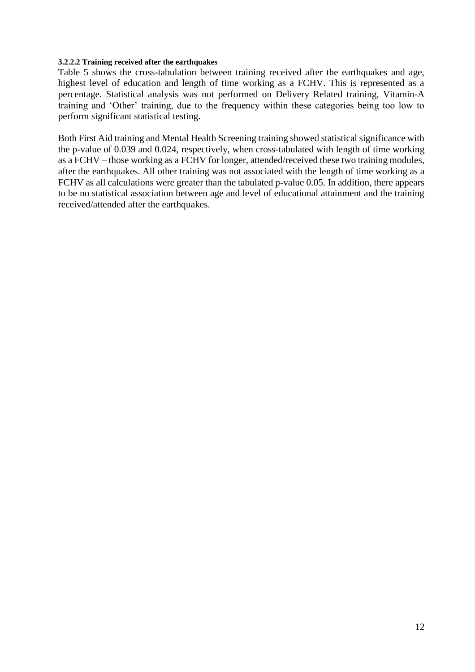#### **3.2.2.2 Training received after the earthquakes**

Table 5 shows the cross-tabulation between training received after the earthquakes and age, highest level of education and length of time working as a FCHV. This is represented as a percentage. Statistical analysis was not performed on Delivery Related training, Vitamin-A training and 'Other' training, due to the frequency within these categories being too low to perform significant statistical testing.

Both First Aid training and Mental Health Screening training showed statistical significance with the p-value of 0.039 and 0.024, respectively, when cross-tabulated with length of time working as a FCHV – those working as a FCHV for longer, attended/received these two training modules, after the earthquakes. All other training was not associated with the length of time working as a FCHV as all calculations were greater than the tabulated p-value 0.05. In addition, there appears to be no statistical association between age and level of educational attainment and the training received/attended after the earthquakes.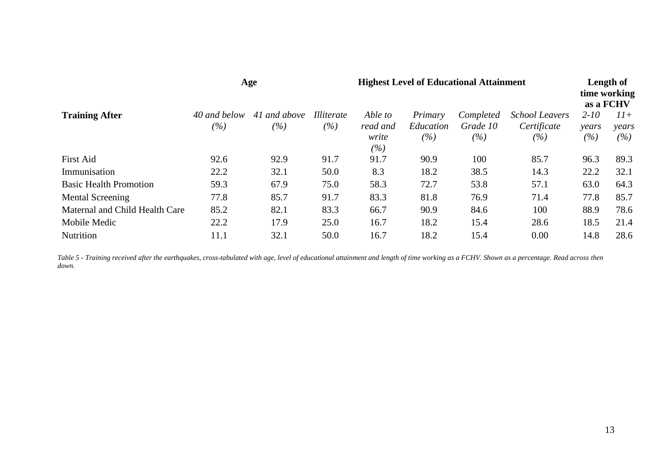|                                | Age                 |                     |                          | <b>Highest Level of Educational Attainment</b> |                             |                              |                                             |                             | Length of<br>time working<br>as a FCHV |  |
|--------------------------------|---------------------|---------------------|--------------------------|------------------------------------------------|-----------------------------|------------------------------|---------------------------------------------|-----------------------------|----------------------------------------|--|
| <b>Training After</b>          | 40 and below<br>(%) | 41 and above<br>(%) | <i>Illiterate</i><br>(%) | Able to<br>read and<br>write<br>(%)            | Primary<br>Education<br>(%) | Completed<br>Grade 10<br>(%) | <b>School Leavers</b><br>Certificate<br>(%) | $2-10$<br>years<br>$( \% )$ | $11+$<br>years<br>(%)                  |  |
| <b>First Aid</b>               | 92.6                | 92.9                | 91.7                     | 91.7                                           | 90.9                        | 100                          | 85.7                                        | 96.3                        | 89.3                                   |  |
| Immunisation                   | 22.2                | 32.1                | 50.0                     | 8.3                                            | 18.2                        | 38.5                         | 14.3                                        | 22.2                        | 32.1                                   |  |
| <b>Basic Health Promotion</b>  | 59.3                | 67.9                | 75.0                     | 58.3                                           | 72.7                        | 53.8                         | 57.1                                        | 63.0                        | 64.3                                   |  |
| Mental Screening               | 77.8                | 85.7                | 91.7                     | 83.3                                           | 81.8                        | 76.9                         | 71.4                                        | 77.8                        | 85.7                                   |  |
| Maternal and Child Health Care | 85.2                | 82.1                | 83.3                     | 66.7                                           | 90.9                        | 84.6                         | 100                                         | 88.9                        | 78.6                                   |  |
| Mobile Medic                   | 22.2                | 17.9                | 25.0                     | 16.7                                           | 18.2                        | 15.4                         | 28.6                                        | 18.5                        | 21.4                                   |  |
| <b>Nutrition</b>               | 11.1                | 32.1                | 50.0                     | 16.7                                           | 18.2                        | 15.4                         | 0.00                                        | 14.8                        | 28.6                                   |  |

*Table 5 - Training received after the earthquakes, cross-tabulated with age, level of educational attainment and length of time working as a FCHV. Shown as a percentage. Read across then down.*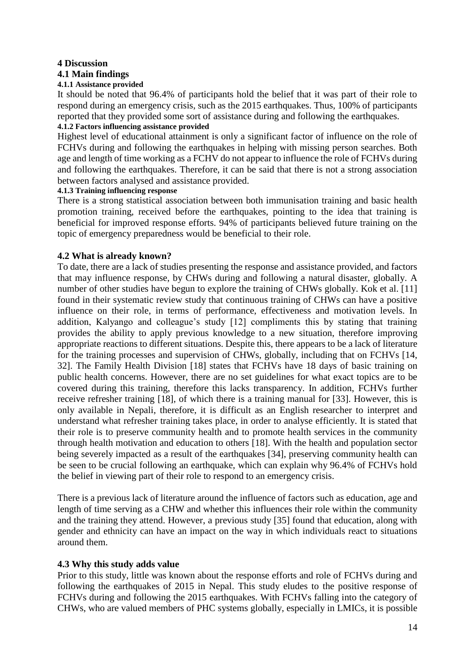## **4 Discussion**

# **4.1 Main findings**

# **4.1.1 Assistance provided**

It should be noted that 96.4% of participants hold the belief that it was part of their role to respond during an emergency crisis, such as the 2015 earthquakes. Thus, 100% of participants reported that they provided some sort of assistance during and following the earthquakes. **4.1.2 Factors influencing assistance provided** 

# Highest level of educational attainment is only a significant factor of influence on the role of FCHVs during and following the earthquakes in helping with missing person searches. Both age and length of time working as a FCHV do not appear to influence the role of FCHVs during and following the earthquakes. Therefore, it can be said that there is not a strong association between factors analysed and assistance provided.

#### **4.1.3 Training influencing response**

There is a strong statistical association between both immunisation training and basic health promotion training, received before the earthquakes, pointing to the idea that training is beneficial for improved response efforts. 94% of participants believed future training on the topic of emergency preparedness would be beneficial to their role.

# **4.2 What is already known?**

To date, there are a lack of studies presenting the response and assistance provided, and factors that may influence response, by CHWs during and following a natural disaster, globally. A number of other studies have begun to explore the training of CHWs globally. Kok et al. [11] found in their systematic review study that continuous training of CHWs can have a positive influence on their role, in terms of performance, effectiveness and motivation levels. In addition, Kalyango and colleague's study [12] compliments this by stating that training provides the ability to apply previous knowledge to a new situation, therefore improving appropriate reactions to different situations. Despite this, there appears to be a lack of literature for the training processes and supervision of CHWs, globally, including that on FCHVs [14, 32]. The Family Health Division [18] states that FCHVs have 18 days of basic training on public health concerns. However, there are no set guidelines for what exact topics are to be covered during this training, therefore this lacks transparency. In addition, FCHVs further receive refresher training [18], of which there is a training manual for [33]. However, this is only available in Nepali, therefore, it is difficult as an English researcher to interpret and understand what refresher training takes place, in order to analyse efficiently. It is stated that their role is to preserve community health and to promote health services in the community through health motivation and education to others [18]. With the health and population sector being severely impacted as a result of the earthquakes [34], preserving community health can be seen to be crucial following an earthquake, which can explain why 96.4% of FCHVs hold the belief in viewing part of their role to respond to an emergency crisis.

There is a previous lack of literature around the influence of factors such as education, age and length of time serving as a CHW and whether this influences their role within the community and the training they attend. However, a previous study [35] found that education, along with gender and ethnicity can have an impact on the way in which individuals react to situations around them.

# **4.3 Why this study adds value**

Prior to this study, little was known about the response efforts and role of FCHVs during and following the earthquakes of 2015 in Nepal. This study eludes to the positive response of FCHVs during and following the 2015 earthquakes. With FCHVs falling into the category of CHWs, who are valued members of PHC systems globally, especially in LMICs, it is possible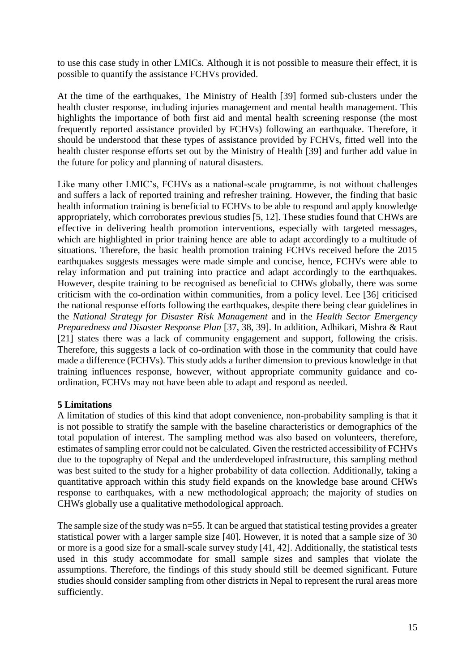to use this case study in other LMICs. Although it is not possible to measure their effect, it is possible to quantify the assistance FCHVs provided.

At the time of the earthquakes, The Ministry of Health [39] formed sub-clusters under the health cluster response, including injuries management and mental health management. This highlights the importance of both first aid and mental health screening response (the most frequently reported assistance provided by FCHVs) following an earthquake. Therefore, it should be understood that these types of assistance provided by FCHVs, fitted well into the health cluster response efforts set out by the Ministry of Health [39] and further add value in the future for policy and planning of natural disasters.

Like many other LMIC's, FCHVs as a national-scale programme, is not without challenges and suffers a lack of reported training and refresher training. However, the finding that basic health information training is beneficial to FCHVs to be able to respond and apply knowledge appropriately, which corroborates previous studies [5, 12]. These studies found that CHWs are effective in delivering health promotion interventions, especially with targeted messages, which are highlighted in prior training hence are able to adapt accordingly to a multitude of situations. Therefore, the basic health promotion training FCHVs received before the 2015 earthquakes suggests messages were made simple and concise, hence, FCHVs were able to relay information and put training into practice and adapt accordingly to the earthquakes. However, despite training to be recognised as beneficial to CHWs globally, there was some criticism with the co-ordination within communities, from a policy level. Lee [36] criticised the national response efforts following the earthquakes, despite there being clear guidelines in the *National Strategy for Disaster Risk Management* and in the *Health Sector Emergency Preparedness and Disaster Response Plan* [37, 38, 39]. In addition, Adhikari, Mishra & Raut [21] states there was a lack of community engagement and support, following the crisis. Therefore, this suggests a lack of co-ordination with those in the community that could have made a difference (FCHVs). This study adds a further dimension to previous knowledge in that training influences response, however, without appropriate community guidance and coordination, FCHVs may not have been able to adapt and respond as needed.

## **5 Limitations**

A limitation of studies of this kind that adopt convenience, non-probability sampling is that it is not possible to stratify the sample with the baseline characteristics or demographics of the total population of interest. The sampling method was also based on volunteers, therefore, estimates of sampling error could not be calculated. Given the restricted accessibility of FCHVs due to the topography of Nepal and the underdeveloped infrastructure, this sampling method was best suited to the study for a higher probability of data collection. Additionally, taking a quantitative approach within this study field expands on the knowledge base around CHWs response to earthquakes, with a new methodological approach; the majority of studies on CHWs globally use a qualitative methodological approach.

The sample size of the study was n=55. It can be argued that statistical testing provides a greater statistical power with a larger sample size [40]. However, it is noted that a sample size of 30 or more is a good size for a small-scale survey study [41, 42]. Additionally, the statistical tests used in this study accommodate for small sample sizes and samples that violate the assumptions. Therefore, the findings of this study should still be deemed significant. Future studies should consider sampling from other districts in Nepal to represent the rural areas more sufficiently.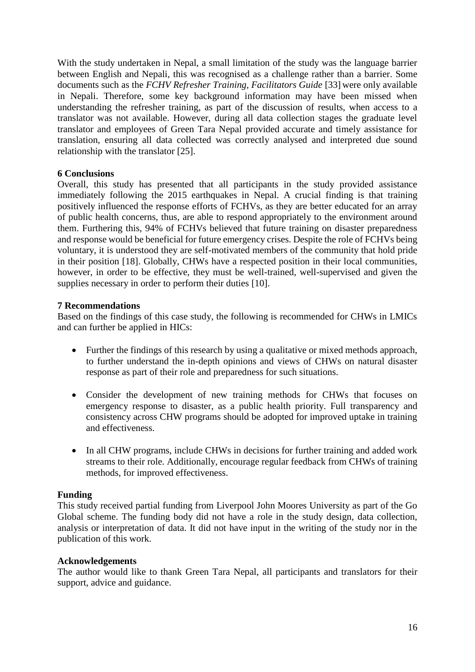With the study undertaken in Nepal, a small limitation of the study was the language barrier between English and Nepali, this was recognised as a challenge rather than a barrier. Some documents such as the *FCHV Refresher Training, Facilitators Guide* [33] were only available in Nepali. Therefore, some key background information may have been missed when understanding the refresher training, as part of the discussion of results, when access to a translator was not available. However, during all data collection stages the graduate level translator and employees of Green Tara Nepal provided accurate and timely assistance for translation, ensuring all data collected was correctly analysed and interpreted due sound relationship with the translator [25].

# **6 Conclusions**

Overall, this study has presented that all participants in the study provided assistance immediately following the 2015 earthquakes in Nepal. A crucial finding is that training positively influenced the response efforts of FCHVs, as they are better educated for an array of public health concerns, thus, are able to respond appropriately to the environment around them. Furthering this, 94% of FCHVs believed that future training on disaster preparedness and response would be beneficial for future emergency crises. Despite the role of FCHVs being voluntary, it is understood they are self-motivated members of the community that hold pride in their position [18]. Globally, CHWs have a respected position in their local communities, however, in order to be effective, they must be well-trained, well-supervised and given the supplies necessary in order to perform their duties [10].

## **7 Recommendations**

Based on the findings of this case study, the following is recommended for CHWs in LMICs and can further be applied in HICs:

- Further the findings of this research by using a qualitative or mixed methods approach, to further understand the in-depth opinions and views of CHWs on natural disaster response as part of their role and preparedness for such situations.
- Consider the development of new training methods for CHWs that focuses on emergency response to disaster, as a public health priority. Full transparency and consistency across CHW programs should be adopted for improved uptake in training and effectiveness.
- In all CHW programs, include CHWs in decisions for further training and added work streams to their role. Additionally, encourage regular feedback from CHWs of training methods, for improved effectiveness.

## **Funding**

This study received partial funding from Liverpool John Moores University as part of the Go Global scheme. The funding body did not have a role in the study design, data collection, analysis or interpretation of data. It did not have input in the writing of the study nor in the publication of this work.

## **Acknowledgements**

The author would like to thank Green Tara Nepal, all participants and translators for their support, advice and guidance.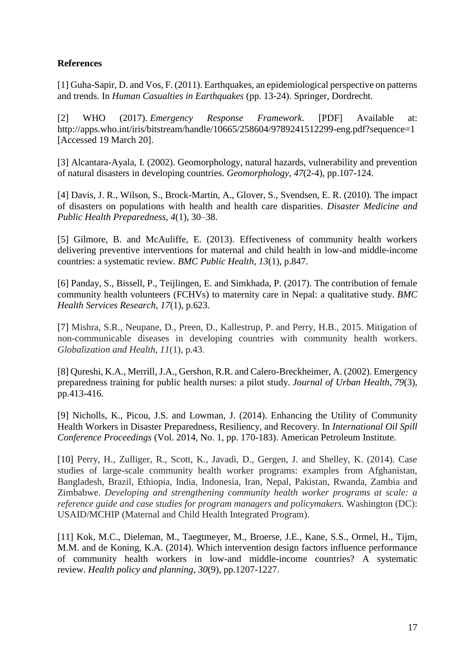# **References**

[1] Guha-Sapir, D. and Vos, F. (2011). Earthquakes, an epidemiological perspective on patterns and trends. In *Human Casualties in Earthquakes* (pp. 13-24). Springer, Dordrecht.

[2] WHO (2017). *Emergency Response Framework*. [PDF] Available at: http://apps.who.int/iris/bitstream/handle/10665/258604/9789241512299-eng.pdf?sequence=1 [Accessed 19 March 20].

[3] Alcantara-Ayala, I. (2002). Geomorphology, natural hazards, vulnerability and prevention of natural disasters in developing countries. *Geomorphology*, *47*(2-4), pp.107-124.

[4] Davis, J. R., Wilson, S., Brock-Martin, A., Glover, S., Svendsen, E. R. (2010). The impact of disasters on populations with health and health care disparities. *Disaster Medicine and Public Health Preparedness, 4*(1), 30–38.

[5] Gilmore, B. and McAuliffe, E. (2013). Effectiveness of community health workers delivering preventive interventions for maternal and child health in low-and middle-income countries: a systematic review. *BMC Public Health*, *13*(1), p.847.

[6] Panday, S., Bissell, P., Teijlingen, E. and Simkhada, P. (2017). The contribution of female community health volunteers (FCHVs) to maternity care in Nepal: a qualitative study. *BMC Health Services Research*, *17*(1), p.623.

[7] Mishra, S.R., Neupane, D., Preen, D., Kallestrup, P. and Perry, H.B., 2015. Mitigation of non-communicable diseases in developing countries with community health workers. *Globalization and Health*, *11*(1), p.43.

[8] Qureshi, K.A., Merrill, J.A., Gershon, R.R. and Calero-Breckheimer, A. (2002). Emergency preparedness training for public health nurses: a pilot study. *Journal of Urban Health*, *79*(3), pp.413-416.

[9] Nicholls, K., Picou, J.S. and Lowman, J. (2014). Enhancing the Utility of Community Health Workers in Disaster Preparedness, Resiliency, and Recovery. In *International Oil Spill Conference Proceedings* (Vol. 2014, No. 1, pp. 170-183). American Petroleum Institute.

[10] Perry, H., Zulliger, R., Scott, K., Javadi, D., Gergen, J. and Shelley, K. (2014). Case studies of large-scale community health worker programs: examples from Afghanistan, Bangladesh, Brazil, Ethiopia, India, Indonesia, Iran, Nepal, Pakistan, Rwanda, Zambia and Zimbabwe. *Developing and strengthening community health worker programs at scale: a reference guide and case studies for program managers and policymakers.* Washington (DC): USAID/MCHIP (Maternal and Child Health Integrated Program).

[11] Kok, M.C., Dieleman, M., Taegtmeyer, M., Broerse, J.E., Kane, S.S., Ormel, H., Tijm, M.M. and de Koning, K.A. (2014). Which intervention design factors influence performance of community health workers in low-and middle-income countries? A systematic review. *Health policy and planning*, *30*(9), pp.1207-1227.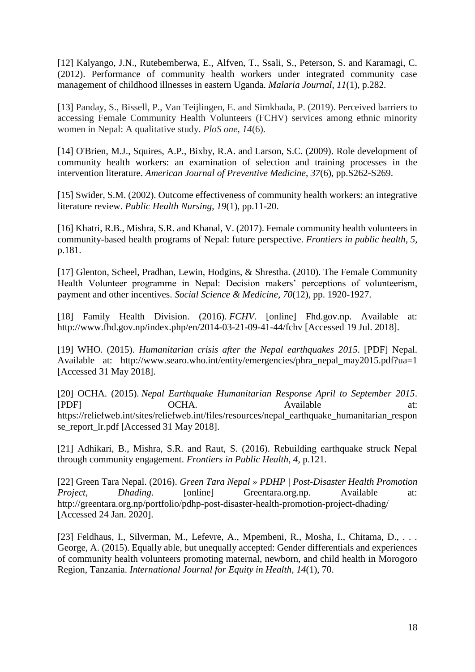[12] Kalyango, J.N., Rutebemberwa, E., Alfven, T., Ssali, S., Peterson, S. and Karamagi, C. (2012). Performance of community health workers under integrated community case management of childhood illnesses in eastern Uganda. *Malaria Journal*, *11*(1), p.282.

[13] Panday, S., Bissell, P., Van Teijlingen, E. and Simkhada, P. (2019). Perceived barriers to accessing Female Community Health Volunteers (FCHV) services among ethnic minority women in Nepal: A qualitative study. *PloS one*, *14*(6).

[14] O'Brien, M.J., Squires, A.P., Bixby, R.A. and Larson, S.C. (2009). Role development of community health workers: an examination of selection and training processes in the intervention literature. *American Journal of Preventive Medicine*, *37*(6), pp.S262-S269.

[15] Swider, S.M. (2002). Outcome effectiveness of community health workers: an integrative literature review. *Public Health Nursing*, *19*(1), pp.11-20.

[16] Khatri, R.B., Mishra, S.R. and Khanal, V. (2017). Female community health volunteers in community-based health programs of Nepal: future perspective. *Frontiers in public health*, *5*, p.181.

[17] Glenton, Scheel, Pradhan, Lewin, Hodgins, & Shrestha. (2010). The Female Community Health Volunteer programme in Nepal: Decision makers' perceptions of volunteerism, payment and other incentives. *Social Science & Medicine, 70*(12), pp. 1920-1927.

[18] Family Health Division. (2016). *FCHV*. [online] Fhd.gov.np. Available at: http://www.fhd.gov.np/index.php/en/2014-03-21-09-41-44/fchv [Accessed 19 Jul. 2018].

[19] WHO. (2015). *Humanitarian crisis after the Nepal earthquakes 2015*. [PDF] Nepal. Available at: http://www.searo.who.int/entity/emergencies/phra\_nepal\_may2015.pdf?ua=1 [Accessed 31 May 2018].

[20] OCHA. (2015). *Nepal Earthquake Humanitarian Response April to September 2015*. [PDF] OCHA. Available at: https://reliefweb.int/sites/reliefweb.int/files/resources/nepal\_earthquake\_humanitarian\_respon se\_report\_lr.pdf [Accessed 31 May 2018].

[21] Adhikari, B., Mishra, S.R. and Raut, S. (2016). Rebuilding earthquake struck Nepal through community engagement. *Frontiers in Public Health*, *4*, p.121.

[22] Green Tara Nepal. (2016). *Green Tara Nepal » PDHP | Post-Disaster Health Promotion Project, Dhading.* [online] Greentara.org.np. Available at: http://greentara.org.np/portfolio/pdhp-post-disaster-health-promotion-project-dhading/ [Accessed 24 Jan. 2020].

[23] Feldhaus, I., Silverman, M., Lefevre, A., Mpembeni, R., Mosha, I., Chitama, D., ... George, A. (2015). Equally able, but unequally accepted: Gender differentials and experiences of community health volunteers promoting maternal, newborn, and child health in Morogoro Region, Tanzania. *International Journal for Equity in Health, 14*(1), 70.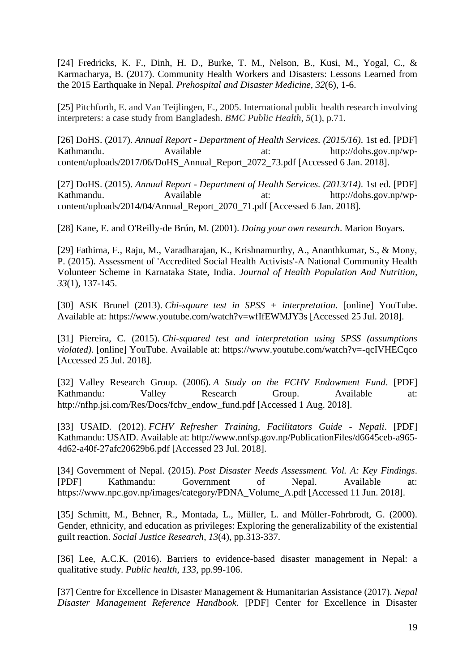[24] Fredricks, K. F., Dinh, H. D., Burke, T. M., Nelson, B., Kusi, M., Yogal, C., & Karmacharya, B. (2017). Community Health Workers and Disasters: Lessons Learned from the 2015 Earthquake in Nepal. *Prehospital and Disaster Medicine, 32*(6), 1-6.

[25] Pitchforth, E. and Van Teijlingen, E., 2005. International public health research involving interpreters: a case study from Bangladesh. *BMC Public Health*, *5*(1), p.71.

[26] DoHS. (2017). *Annual Report - Department of Health Services. (2015/16)*. 1st ed. [PDF] Kathmandu. Available at: http://dohs.gov.np/wpcontent/uploads/2017/06/DoHS\_Annual\_Report\_2072\_73.pdf [Accessed 6 Jan. 2018].

[27] DoHS. (2015). *Annual Report - Department of Health Services. (2013/14)*. 1st ed. [PDF] Kathmandu. Available at: http://dohs.gov.np/wpcontent/uploads/2014/04/Annual\_Report\_2070\_71.pdf [Accessed 6 Jan. 2018].

[28] Kane, E. and O'Reilly-de Brún, M. (2001). *Doing your own research*. Marion Boyars.

[29] Fathima, F., Raju, M., Varadharajan, K., Krishnamurthy, A., Ananthkumar, S., & Mony, P. (2015). Assessment of 'Accredited Social Health Activists'-A National Community Health Volunteer Scheme in Karnataka State, India. *Journal of Health Population And Nutrition, 33*(1), 137-145.

[30] ASK Brunel (2013). *Chi-square test in SPSS + interpretation*. [online] YouTube. Available at: https://www.youtube.com/watch?v=wfIfEWMJY3s [Accessed 25 Jul. 2018].

[31] Piereira, C. (2015). *Chi-squared test and interpretation using SPSS (assumptions violated)*. [online] YouTube. Available at: https://www.youtube.com/watch?v=-qcIVHECqco [Accessed 25 Jul. 2018].

[32] Valley Research Group. (2006). *A Study on the FCHV Endowment Fund*. [PDF] Kathmandu: Valley Research Group. Available at: http://nfhp.jsi.com/Res/Docs/fchv\_endow\_fund.pdf [Accessed 1 Aug. 2018].

[33] USAID. (2012). *FCHV Refresher Training, Facilitators Guide - Nepali*. [PDF] Kathmandu: USAID. Available at: http://www.nnfsp.gov.np/PublicationFiles/d6645ceb-a965- 4d62-a40f-27afc20629b6.pdf [Accessed 23 Jul. 2018].

[34] Government of Nepal. (2015). *Post Disaster Needs Assessment. Vol. A: Key Findings*. [PDF] Kathmandu: Government of Nepal. Available at: https://www.npc.gov.np/images/category/PDNA\_Volume\_A.pdf [Accessed 11 Jun. 2018].

[35] Schmitt, M., Behner, R., Montada, L., Müller, L. and Müller-Fohrbrodt, G. (2000). Gender, ethnicity, and education as privileges: Exploring the generalizability of the existential guilt reaction. *Social Justice Research*, *13*(4), pp.313-337.

[36] Lee, A.C.K. (2016). Barriers to evidence-based disaster management in Nepal: a qualitative study. *Public health*, *133*, pp.99-106.

[37] Centre for Excellence in Disaster Management & Humanitarian Assistance (2017). *Nepal Disaster Management Reference Handbook.* [PDF] Center for Excellence in Disaster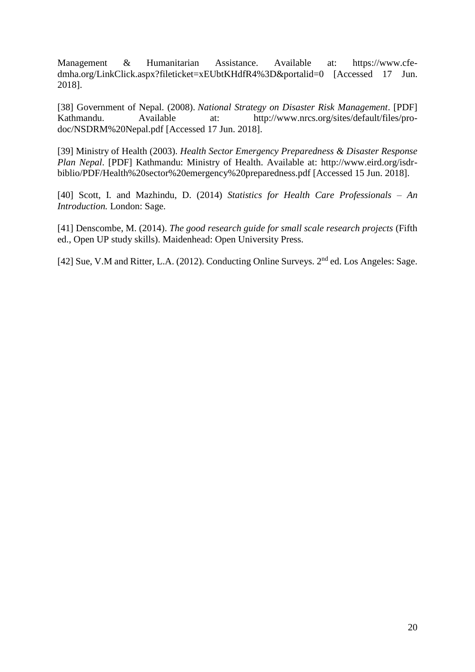Management & Humanitarian Assistance. Available at: https://www.cfedmha.org/LinkClick.aspx?fileticket=xEUbtKHdfR4%3D&portalid=0 [Accessed 17 Jun. 2018].

[38] Government of Nepal. (2008). *National Strategy on Disaster Risk Management*. [PDF] Kathmandu. Available at: http://www.nrcs.org/sites/default/files/prodoc/NSDRM%20Nepal.pdf [Accessed 17 Jun. 2018].

[39] Ministry of Health (2003). *Health Sector Emergency Preparedness & Disaster Response Plan Nepal*. [PDF] Kathmandu: Ministry of Health. Available at: http://www.eird.org/isdrbiblio/PDF/Health%20sector%20emergency%20preparedness.pdf [Accessed 15 Jun. 2018].

[40] Scott, I. and Mazhindu, D. (2014) *Statistics for Health Care Professionals – An Introduction.* London: Sage.

[41] Denscombe, M. (2014). *The good research guide for small scale research projects* (Fifth ed., Open UP study skills). Maidenhead: Open University Press.

[42] Sue, V.M and Ritter, L.A. (2012). Conducting Online Surveys. 2<sup>nd</sup> ed. Los Angeles: Sage.